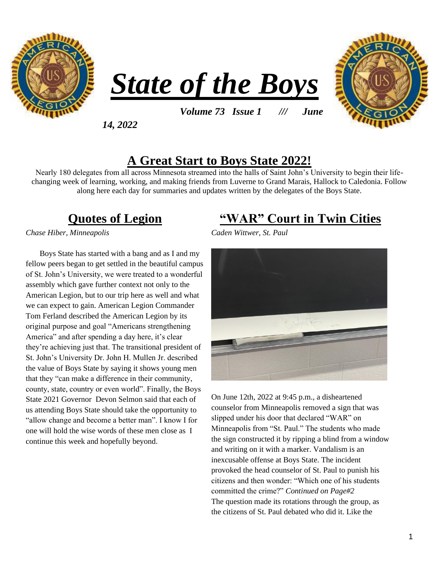





*Volume 73 Issue 1 /// June* 

*14, 2022*

### **A Great Start to Boys State 2022!**

Nearly 180 delegates from all across Minnesota streamed into the halls of Saint John's University to begin their lifechanging week of learning, working, and making friends from Luverne to Grand Marais, Hallock to Caledonia. Follow along here each day for summaries and updates written by the delegates of the Boys State.

## **Quotes of Legion**

*Chase Hiber, Minneapolis*

Boys State has started with a bang and as I and my fellow peers began to get settled in the beautiful campus of St. John's University, we were treated to a wonderful assembly which gave further context not only to the American Legion, but to our trip here as well and what we can expect to gain. American Legion Commander Tom Ferland described the American Legion by its original purpose and goal "Americans strengthening America" and after spending a day here, it's clear they're achieving just that. The transitional president of St. John's University Dr. John H. Mullen Jr. described the value of Boys State by saying it shows young men that they "can make a difference in their community, county, state, country or even world". Finally, the Boys State 2021 Governor Devon Selmon said that each of us attending Boys State should take the opportunity to "allow change and become a better man". I know I for one will hold the wise words of these men close as I continue this week and hopefully beyond.

### **"WAR" Court in Twin Cities**

*Caden Wittwer, St. Paul*



On June 12th, 2022 at 9:45 p.m., a disheartened counselor from Minneapolis removed a sign that was slipped under his door that declared "WAR" on Minneapolis from "St. Paul." The students who made the sign constructed it by ripping a blind from a window and writing on it with a marker. Vandalism is an inexcusable offense at Boys State. The incident provoked the head counselor of St. Paul to punish his citizens and then wonder: "Which one of his students committed the crime?" *Continued on Page#2* The question made its rotations through the group, as the citizens of St. Paul debated who did it. Like the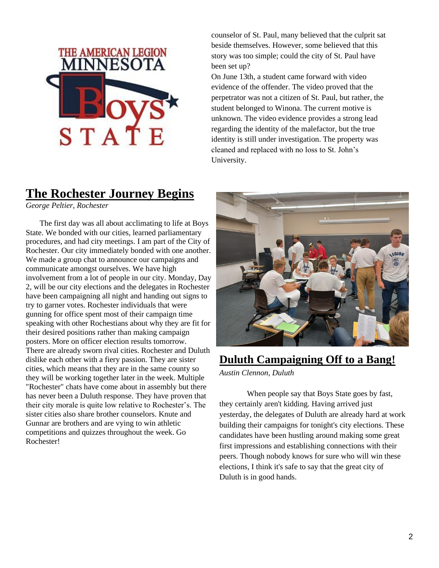

counselor of St. Paul, many believed that the culprit sat beside themselves. However, some believed that this story was too simple; could the city of St. Paul have been set up?

On June 13th, a student came forward with video evidence of the offender. The video proved that the perpetrator was not a citizen of St. Paul, but rather, the student belonged to Winona. The current motive is unknown. The video evidence provides a strong lead regarding the identity of the malefactor, but the true identity is still under investigation. The property was cleaned and replaced with no loss to St. John's University.

## **The Rochester Journey Begins**

*George Peltier, Rochester*

 The first day was all about acclimating to life at Boys State. We bonded with our cities, learned parliamentary procedures, and had city meetings. I am part of the City of Rochester. Our city immediately bonded with one another. We made a group chat to announce our campaigns and communicate amongst ourselves. We have high involvement from a lot of people in our city. Monday, Day 2, will be our city elections and the delegates in Rochester have been campaigning all night and handing out signs to try to garner votes. Rochester individuals that were gunning for office spent most of their campaign time speaking with other Rochestians about why they are fit for their desired positions rather than making campaign posters. More on officer election results tomorrow. There are already sworn rival cities. Rochester and Duluth dislike each other with a fiery passion. They are sister cities, which means that they are in the same county so they will be working together later in the week. Multiple "Rochester" chats have come about in assembly but there has never been a Duluth response. They have proven that their city morale is quite low relative to Rochester's. The sister cities also share brother counselors. Knute and Gunnar are brothers and are vying to win athletic competitions and quizzes throughout the week. Go Rochester!



#### **Duluth Campaigning Off to a Bang!**

*Austin Clennon, Duluth*

 When people say that Boys State goes by fast, they certainly aren't kidding. Having arrived just yesterday, the delegates of Duluth are already hard at work building their campaigns for tonight's city elections. These candidates have been hustling around making some great first impressions and establishing connections with their peers. Though nobody knows for sure who will win these elections, I think it's safe to say that the great city of Duluth is in good hands.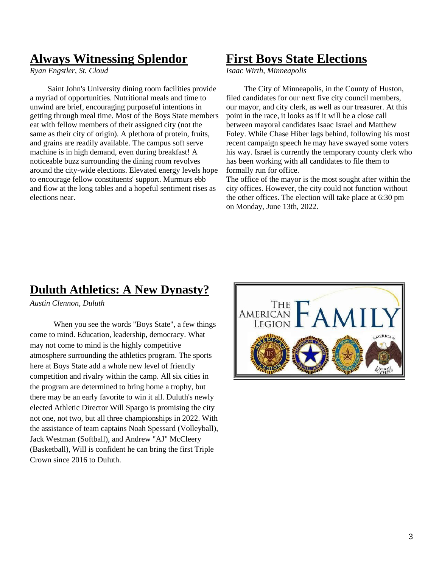## **Always Witnessing Splendor**

*Ryan Engstler, St. Cloud*

 Saint John's University dining room facilities provide a myriad of opportunities. Nutritional meals and time to unwind are brief, encouraging purposeful intentions in getting through meal time. Most of the Boys State members eat with fellow members of their assigned city (not the same as their city of origin). A plethora of protein, fruits, and grains are readily available. The campus soft serve machine is in high demand, even during breakfast! A noticeable buzz surrounding the dining room revolves around the city-wide elections. Elevated energy levels hope to encourage fellow constituents' support. Murmurs ebb and flow at the long tables and a hopeful sentiment rises as elections near.

#### **First Boys State Elections**

*Isaac Wirth, Minneapolis*

 The City of Minneapolis, in the County of Huston, filed candidates for our next five city council members, our mayor, and city clerk, as well as our treasurer. At this point in the race, it looks as if it will be a close call between mayoral candidates Isaac Israel and Matthew Foley. While Chase Hiber lags behind, following his most recent campaign speech he may have swayed some voters his way. Israel is currently the temporary county clerk who has been working with all candidates to file them to formally run for office.

The office of the mayor is the most sought after within the city offices. However, the city could not function without the other offices. The election will take place at 6:30 pm on Monday, June 13th, 2022.

#### **Duluth Athletics: A New Dynasty?**

*Austin Clennon, Duluth*

 When you see the words "Boys State", a few things come to mind. Education, leadership, democracy. What may not come to mind is the highly competitive atmosphere surrounding the athletics program. The sports here at Boys State add a whole new level of friendly competition and rivalry within the camp. All six cities in the program are determined to bring home a trophy, but there may be an early favorite to win it all. Duluth's newly elected Athletic Director Will Spargo is promising the city not one, not two, but all three championships in 2022. With the assistance of team captains Noah Spessard (Volleyball), Jack Westman (Softball), and Andrew "AJ" McCleery (Basketball), Will is confident he can bring the first Triple Crown since 2016 to Duluth.

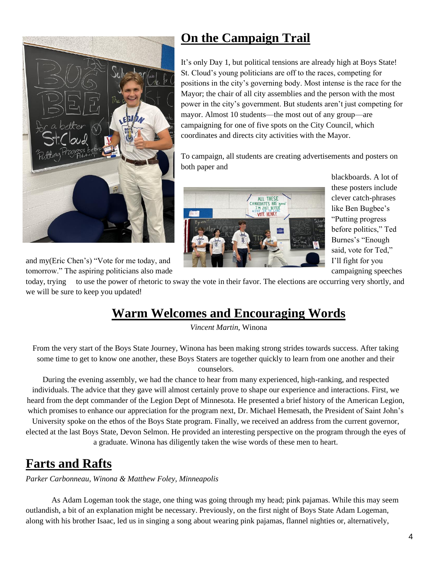

tomorrow." The aspiring politicians also made campaigning speeches campaigning speeches

## **On the Campaign Trail**

It's only Day 1, but political tensions are already high at Boys State! St. Cloud's young politicians are off to the races, competing for positions in the city's governing body. Most intense is the race for the Mayor; the chair of all city assemblies and the person with the most power in the city's government. But students aren't just competing for mayor. Almost 10 students—the most out of any group—are campaigning for one of five spots on the City Council, which coordinates and directs city activities with the Mayor.

To campaign, all students are creating advertisements and posters on both paper and



blackboards. A lot of these posters include clever catch-phrases like Ben Bugbee's "Putting progress before politics," Ted Burnes's "Enough said, vote for Ted,"

today, trying to use the power of rhetoric to sway the vote in their favor. The elections are occurring very shortly, and we will be sure to keep you updated!

## **Warm Welcomes and Encouraging Words**

*Vincent Martin*, Winona

From the very start of the Boys State Journey, Winona has been making strong strides towards success. After taking some time to get to know one another, these Boys Staters are together quickly to learn from one another and their counselors.

During the evening assembly, we had the chance to hear from many experienced, high-ranking, and respected individuals. The advice that they gave will almost certainly prove to shape our experience and interactions. First, we heard from the dept commander of the Legion Dept of Minnesota. He presented a brief history of the American Legion, which promises to enhance our appreciation for the program next, Dr. Michael Hemesath, the President of Saint John's

University spoke on the ethos of the Boys State program. Finally, we received an address from the current governor, elected at the last Boys State, Devon Selmon. He provided an interesting perspective on the program through the eyes of a graduate. Winona has diligently taken the wise words of these men to heart.

## **Farts and Rafts**

*Parker Carbonneau, Winona & Matthew Foley, Minneapolis* 

As Adam Logeman took the stage, one thing was going through my head; pink pajamas. While this may seem outlandish, a bit of an explanation might be necessary. Previously, on the first night of Boys State Adam Logeman, along with his brother Isaac, led us in singing a song about wearing pink pajamas, flannel nighties or, alternatively,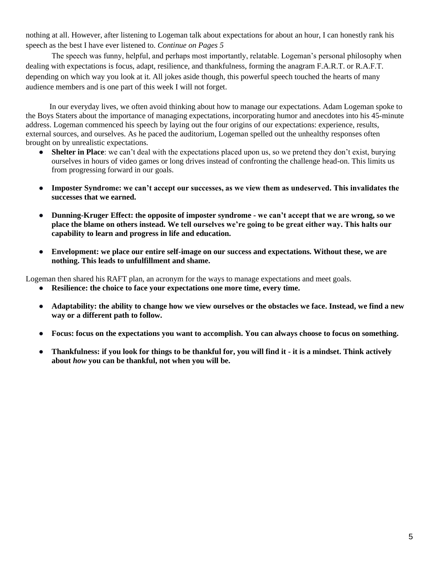nothing at all. However, after listening to Logeman talk about expectations for about an hour, I can honestly rank his speech as the best I have ever listened to. *Continue on Pages 5* 

The speech was funny, helpful, and perhaps most importantly, relatable. Logeman's personal philosophy when dealing with expectations is focus, adapt, resilience, and thankfulness, forming the anagram F.A.R.T. or R.A.F.T. depending on which way you look at it. All jokes aside though, this powerful speech touched the hearts of many audience members and is one part of this week I will not forget.

 In our everyday lives, we often avoid thinking about how to manage our expectations. Adam Logeman spoke to the Boys Staters about the importance of managing expectations, incorporating humor and anecdotes into his 45-minute address. Logeman commenced his speech by laying out the four origins of our expectations: experience, results, external sources, and ourselves. As he paced the auditorium, Logeman spelled out the unhealthy responses often brought on by unrealistic expectations.

- **Shelter in Place**: we can't deal with the expectations placed upon us, so we pretend they don't exist, burying ourselves in hours of video games or long drives instead of confronting the challenge head-on. This limits us from progressing forward in our goals.
- **Imposter Syndrome: we can't accept our successes, as we view them as undeserved. This invalidates the successes that we earned.**
- **Dunning-Kruger Effect: the opposite of imposter syndrome - we can't accept that we are wrong, so we place the blame on others instead. We tell ourselves we're going to be great either way. This halts our capability to learn and progress in life and education.**
- **Envelopment: we place our entire self-image on our success and expectations. Without these, we are nothing. This leads to unfulfillment and shame.**

Logeman then shared his RAFT plan, an acronym for the ways to manage expectations and meet goals.

- Resilience: the choice to face your expectations one more time, every time.
- **Adaptability: the ability to change how we view ourselves or the obstacles we face. Instead, we find a new way or a different path to follow.**
- **Focus: focus on the expectations you want to accomplish. You can always choose to focus on something.**
- **Thankfulness: if you look for things to be thankful for, you will find it - it is a mindset. Think actively about** *how* **you can be thankful, not when you will be.**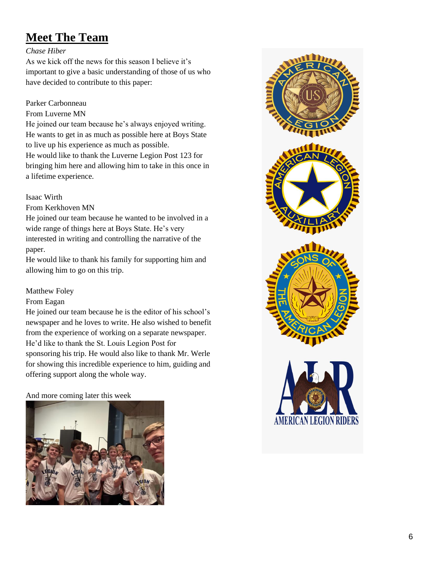## **Meet The Team**

#### *Chase Hiber*

As we kick off the news for this season I believe it's important to give a basic understanding of those of us who have decided to contribute to this paper:

#### Parker Carbonneau

#### From Luverne MN

He joined our team because he's always enjoyed writing. He wants to get in as much as possible here at Boys State to live up his experience as much as possible.

He would like to thank the Luverne Legion Post 123 for bringing him here and allowing him to take in this once in a lifetime experience.

#### Isaac Wirth

From Kerkhoven MN

He joined our team because he wanted to be involved in a wide range of things here at Boys State. He's very interested in writing and controlling the narrative of the paper.

He would like to thank his family for supporting him and allowing him to go on this trip.

#### Matthew Foley

From Eagan

He joined our team because he is the editor of his school's newspaper and he loves to write. He also wished to benefit from the experience of working on a separate newspaper. He'd like to thank the St. Louis Legion Post for sponsoring his trip. He would also like to thank Mr. Werle for showing this incredible experience to him, guiding and offering support along the whole way.

And more coming later this week